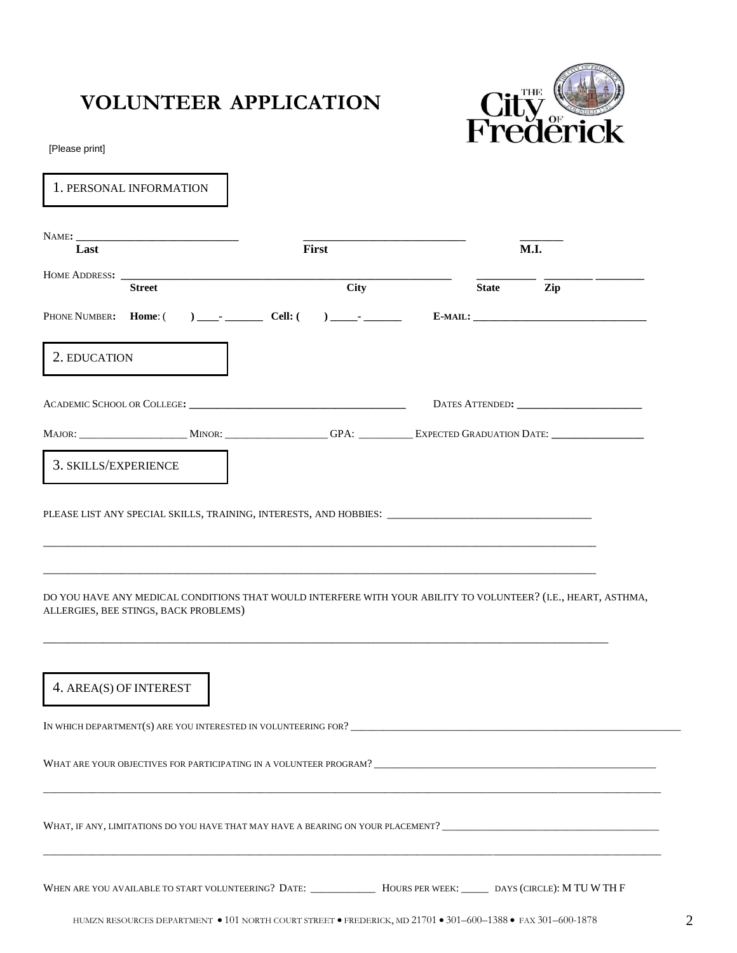## **VOLUNTEER APPLICATION**



[Please print]

| 1. PERSONAL INFORMATION                                                                                                                                |             |  |              |     |
|--------------------------------------------------------------------------------------------------------------------------------------------------------|-------------|--|--------------|-----|
| Last                                                                                                                                                   | First       |  | <b>M.I.</b>  |     |
| HOME ADDRESS: _________<br><b>Street</b>                                                                                                               | <b>City</b> |  | <b>State</b> | Zip |
|                                                                                                                                                        |             |  |              |     |
| 2. EDUCATION                                                                                                                                           |             |  |              |     |
|                                                                                                                                                        |             |  |              |     |
|                                                                                                                                                        |             |  |              |     |
| 3. SKILLS/EXPERIENCE                                                                                                                                   |             |  |              |     |
| DO YOU HAVE ANY MEDICAL CONDITIONS THAT WOULD INTERFERE WITH YOUR ABILITY TO VOLUNTEER? (I.E., HEART, ASTHMA,<br>ALLERGIES, BEE STINGS, BACK PROBLEMS) |             |  |              |     |
| 4. AREA(S) OF INTEREST                                                                                                                                 |             |  |              |     |
|                                                                                                                                                        |             |  |              |     |
|                                                                                                                                                        |             |  |              |     |
|                                                                                                                                                        |             |  |              |     |
| WHEN ARE YOU AVAILABLE TO START VOLUNTEERING? DATE: _____________ HOURS PER WEEK: _______ DAYS (CIRCLE): M TU W TH F                                   |             |  |              |     |